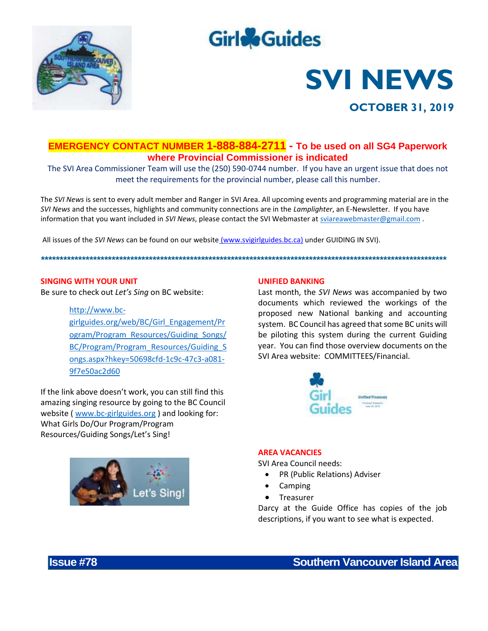

## **Girle**Guides

# **SVI NEWS**



## **EMERGENCY CONTACT NUMBER 1-888-884-2711 - To be used on all SG4 Paperwork where Provincial Commissioner is indicated**

The SVI Area Commissioner Team will use the (250) 590-0744 number. If you have an urgent issue that does not meet the requirements for the provincial number, please call this number.

The *SVI News* is sent to every adult member and Ranger in SVI Area. All upcoming events and programming material are in the *SVI News* and the successes, highlights and community connections are in the *Lamplighter*, an E-Newsletter. If you have information that you want included in *SVI News*, please contact the SVI Webmaster at [sviareawebmaster@gmail.com](mailto:sviareawebmaster@gmail.com) .

*\*\*\*\*\*\*\*\*\*\*\*\*\*\*\*\*\*\*\*\*\*\*\*\*\*\*\*\*\*\*\*\*\*\*\*\*\*\*\*\*\*\*\*\*\*\*\*\*\*\*\*\*\*\*\*\*\*\*\*\*\*\*\*\*\*\*\*\*\*\*\*\*\*\*\*\*\*\*\*\*\*\*\*\*\*\*\*\*\*\*\*\*\*\*\*\*\*\*\*\*\*\*\*\*\*\*\*\*\**

All issues of the *SVI News* can be found on our website [\(www.svigirlguides.bc.ca\)](http://www.svigirlguides.bc.ca/) under GUIDING IN SVI).

#### **SINGING WITH YOUR UNIT**

Be sure to check out *Let's Sing* on BC website:

#### [http://www.bc-](http://www.bc-girlguides.org/web/BC/Girl_Engagement/Program/Program_Resources/Guiding_Songs/BC/Program/Program_Resources/Guiding_Songs.aspx?hkey=50698cfd-1c9c-47c3-a081-9f7e50ac2d60)

[girlguides.org/web/BC/Girl\\_Engagement/Pr](http://www.bc-girlguides.org/web/BC/Girl_Engagement/Program/Program_Resources/Guiding_Songs/BC/Program/Program_Resources/Guiding_Songs.aspx?hkey=50698cfd-1c9c-47c3-a081-9f7e50ac2d60) [ogram/Program\\_Resources/Guiding\\_Songs/](http://www.bc-girlguides.org/web/BC/Girl_Engagement/Program/Program_Resources/Guiding_Songs/BC/Program/Program_Resources/Guiding_Songs.aspx?hkey=50698cfd-1c9c-47c3-a081-9f7e50ac2d60) [BC/Program/Program\\_Resources/Guiding\\_S](http://www.bc-girlguides.org/web/BC/Girl_Engagement/Program/Program_Resources/Guiding_Songs/BC/Program/Program_Resources/Guiding_Songs.aspx?hkey=50698cfd-1c9c-47c3-a081-9f7e50ac2d60) [ongs.aspx?hkey=50698cfd-1c9c-47c3-a081-](http://www.bc-girlguides.org/web/BC/Girl_Engagement/Program/Program_Resources/Guiding_Songs/BC/Program/Program_Resources/Guiding_Songs.aspx?hkey=50698cfd-1c9c-47c3-a081-9f7e50ac2d60) [9f7e50ac2d60](http://www.bc-girlguides.org/web/BC/Girl_Engagement/Program/Program_Resources/Guiding_Songs/BC/Program/Program_Resources/Guiding_Songs.aspx?hkey=50698cfd-1c9c-47c3-a081-9f7e50ac2d60)

If the link above doesn't work, you can still find this amazing singing resource by going to the BC Council website ( [www.bc-girlguides.org](http://www.bc-girlguides.org/) ) and looking for: What Girls Do/Our Program/Program Resources/Guiding Songs/Let's Sing!



#### **UNIFIED BANKING**

Last month, the *SVI News* was accompanied by two documents which reviewed the workings of the proposed new National banking and accounting system. BC Council has agreed that some BC units will be piloting this system during the current Guiding year. You can find those overview documents on the SVI Area website: COMMITTEES/Financial.



#### **AREA VACANCIES**

SVI Area Council needs:

- PR (Public Relations) Adviser
- Camping
- **Treasurer**

Darcy at the Guide Office has copies of the job descriptions, if you want to see what is expected.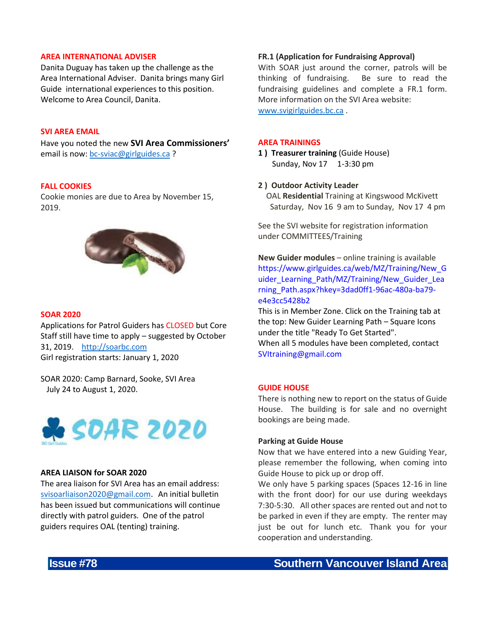#### **AREA INTERNATIONAL ADVISER**

Danita Duguay has taken up the challenge as the Area International Adviser. Danita brings many Girl Guide international experiences to this position. Welcome to Area Council, Danita.

#### **SVI AREA EMAIL**

Have you noted the new **SVI Area Commissioners'** email is now: [bc-sviac@girlguides.ca](mailto:bc-sviac@girlguides.ca) ?

#### **FALL COOKIES**

Cookie monies are due to Area by November 15, 2019.



#### **SOAR 2020**

Applications for Patrol Guiders has CLOSED but Core Staff still have time to apply – suggested by October 31, 2019. [http://soarbc.com](http://soarbc.com/)  Girl registration starts: January 1, 2020

SOAR 2020: Camp Barnard, Sooke, SVI Area July 24 to August 1, 2020.



#### **AREA LIAISON for SOAR 2020**

The area liaison for SVI Area has an email address: [svisoarliaison2020@gmail.com](mailto:svisoarliaison2020@gmail.com). An initial bulletin has been issued but communications will continue directly with patrol guiders. One of the patrol guiders requires OAL (tenting) training.

#### **FR.1 (Application for Fundraising Approval)**

With SOAR just around the corner, patrols will be thinking of fundraising. Be sure to read the fundraising guidelines and complete a FR.1 form. More information on the SVI Area website: [www.svigirlguides.bc.ca](http://www.svigirlguides.bc.ca/) .

#### **AREA TRAININGS**

- **1 ) Treasurer training** (Guide House) Sunday, Nov 17 1-3:30 pm
- **2 ) Outdoor Activity Leader**
	- OAL **Residential** Training at Kingswood McKivett Saturday, Nov 16 9 am to Sunday, Nov 17 4 pm

See the SVI website for registration information under COMMITTEES/Training

**New Guider modules** – online training is available https://www.girlguides.ca/web/MZ/Training/New\_G uider\_Learning\_Path/MZ/Training/New\_Guider\_Lea rning\_Path.aspx?hkey=3dad0ff1-96ac-480a-ba79 e4e3cc5428b2

This is in Member Zone. Click on the Training tab at the top: New Guider Learning Path – Square Icons under the title "Ready To Get Started". When all 5 modules have been completed, contact SVItraining@gmail.com

#### **GUIDE HOUSE**

There is nothing new to report on the status of Guide House. The building is for sale and no overnight bookings are being made.

#### **Parking at Guide House**

Now that we have entered into a new Guiding Year, please remember the following, when coming into Guide House to pick up or drop off.

We only have 5 parking spaces (Spaces 12-16 in line with the front door) for our use during weekdays 7:30-5:30. All other spaces are rented out and not to be parked in even if they are empty. The renter may just be out for lunch etc. Thank you for your cooperation and understanding.